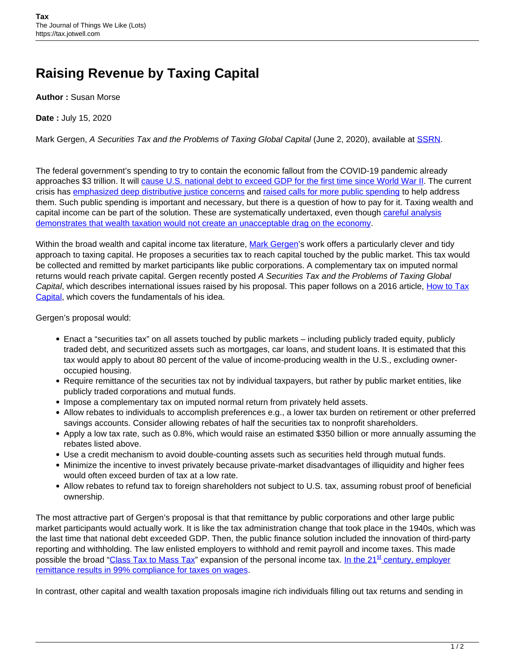## **Raising Revenue by Taxing Capital**

**Author :** Susan Morse

**Date :** July 15, 2020

Mark Gergen, A Securities Tax and the Problems of Taxing Global Capital (June 2, 2020), available at [SSRN.](https://papers.ssrn.com/sol3/papers.cfm?abstract_id=3619211)

The federal government's spending to try to contain the economic fallout from the COVID-19 pandemic already approaches \$3 trillion. It will [cause U.S. national debt to exceed GDP for the first time since World War II.](https://www.cnn.com/2020/04/03/economy/coronavirus-debt-deficits/index.html) The current crisis has [emphasized deep distributive justice concerns](https://theconversation.com/5-lessons-from-the-coronavirus-about-inequality-in-america-136024) and [raised calls for more public spending](https://www.forbes.com/sites/heathermcgowan/2020/04/16/the-coronavirus-is-creating-an-inflection-point-in-the-future-of-work/#1fbb93413b2d) to help address them. Such public spending is important and necessary, but there is a question of how to pay for it. Taxing wealth and capital income can be part of the solution. These are systematically undertaxed, even though [careful analysis](https://eml.berkeley.edu/~saez/piketty-saezECMA13.pdf) [demonstrates that wealth taxation would not create an unacceptable drag on the economy](https://eml.berkeley.edu/~saez/piketty-saezECMA13.pdf).

Within the broad wealth and capital income tax literature, [Mark Gergen'](https://www.law.berkeley.edu/our-faculty/faculty-profiles/mark-gergen/)s work offers a particularly clever and tidy approach to taxing capital. He proposes a securities tax to reach capital touched by the public market. This tax would be collected and remitted by market participants like public corporations. A complementary tax on imputed normal returns would reach private capital. Gergen recently posted A Securities Tax and the Problems of Taxing Global Capital, which describes international issues raised by his proposal. This paper follows on a 2016 article, [How to Tax](https://papers.ssrn.com/sol3/papers.cfm?abstract_id=2749422) [Capital,](https://papers.ssrn.com/sol3/papers.cfm?abstract_id=2749422) which covers the fundamentals of his idea.

Gergen's proposal would:

- Enact a "securities tax" on all assets touched by public markets including publicly traded equity, publicly traded debt, and securitized assets such as mortgages, car loans, and student loans. It is estimated that this tax would apply to about 80 percent of the value of income-producing wealth in the U.S., excluding owneroccupied housing.
- Require remittance of the securities tax not by individual taxpayers, but rather by public market entities, like publicly traded corporations and mutual funds.
- Impose a complementary tax on imputed normal return from privately held assets.
- Allow rebates to individuals to accomplish preferences e.g., a lower tax burden on retirement or other preferred savings accounts. Consider allowing rebates of half the securities tax to nonprofit shareholders.
- Apply a low tax rate, such as 0.8%, which would raise an estimated \$350 billion or more annually assuming the rebates listed above.
- Use a credit mechanism to avoid double-counting assets such as securities held through mutual funds.
- Minimize the incentive to invest privately because private-market disadvantages of illiquidity and higher fees would often exceed burden of tax at a low rate.
- Allow rebates to refund tax to foreign shareholders not subject to U.S. tax, assuming robust proof of beneficial ownership.

The most attractive part of Gergen's proposal is that that remittance by public corporations and other large public market participants would actually work. It is like the tax administration change that took place in the 1940s, which was the last time that national debt exceeded GDP. Then, the public finance solution included the innovation of third-party reporting and withholding. The law enlisted employers to withhold and remit payroll and income taxes. This made possible the broad ["Class Tax to Mass Tax](https://www.forbes.com/sites/taxnotes/2019/11/14/messaging-strategy-from-class-tax-to-mass-tax-and-back-again/#573f144b34ef)" expansion of the personal income tax. [In the 21](https://www.irs.gov/pub/newsroom/tax%20gap%20estimates%20for%202008%20through%202010.pdf)<sup>[st](https://www.irs.gov/pub/newsroom/tax%20gap%20estimates%20for%202008%20through%202010.pdf)</sup> [century, employer](https://www.irs.gov/pub/newsroom/tax%20gap%20estimates%20for%202008%20through%202010.pdf) [remittance results in 99% compliance for taxes on wages.](https://www.irs.gov/pub/newsroom/tax%20gap%20estimates%20for%202008%20through%202010.pdf)

In contrast, other capital and wealth taxation proposals imagine rich individuals filling out tax returns and sending in